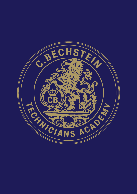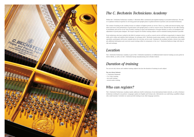

# *The C. Bechstein Technicians Academy*

Within the C. Bechstein Technicians Academy C. Bechstein offers customized and targeted training to associated technicians. The aim is to optimize technical expertise in servicing grand and upright pianos in global network of partners and associated technicians.

The content of training in the academy focuses on subjects of highest priority in service. That is e.g. stable and musical tuning, regulation and touch, tonal performance of grand pianos and upright pianos as well as concert service. Beyond that we also offer training in installation and service of our Vario Systems; training in repair and maintenance of lacquer finishes as well as in installation and adjustment of grand piano dampers. We respect requests for further training subjects and for extended training duration if possible.

Even technicians who have worked in the field of customer service as well as concert service will find an opportunity to improve their skills and to refine and stabilize their technique. In exchange with C. Bechstein master piano makers, concert technicians and skilled specialists, participants will receive valuable advice for everyday service work. Training in the academy includes a factory tour, multiple additional information and convivial casual evenings either in restaurants or the cozy C. Bechstein Barbecue lodge with time to talk and exchange.

# *Location*

The C. Bechstein Technicians Academy is part of the C. Bechstein manufactory in Seifhennersdorf, however training can also partly be held in Berlin, as well as in the C. Bechstein Europe manufacturing site in Hradec Králové.

# *Duration of training*

You can not only choose and combine training subjects but also the duration of training in each subject.

### *You can choose between:*

- C. Bechstein Weekends
- 2 to 3-days training
- one week training
- several weeks training

# *Who can register?*

The C. Bechstein Technicians Academy mainly addresses itself to technicians of our international dealer network, as well as freelance technicians working for our partners. Languages spoken are English and German only. Alternatively you could bring a qualified collegue who could translate. Currently we cannot provide training in any other language ourselves.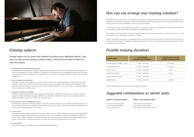#### *Tonal performance of upright and grand pianos*

 Maintaining the tonal performance of quality instruments and adjusting the tone to pianists' individual requests remains one of the most challenging tasks for piano technicians. C. Bechstein's concert technicians and voicing specialists share all their knowledge and techniques, giving you the opportunity to benefit from their experience. You can choose between voicing of grand pianos and upright pianos.

#### *Touch of upright and grand pianos*

 Regulation according to given dimensions alone does not necessarily lead to a perfect performance of the keyboard and action assembly. Various aspects influence touch and small changes may have considerable effect. Beginning with regulation of the keyboard and action assembly, we provide tips and tricks to modify the instrument's touch. You can choose between regulating touch of grand pianos or upright pianos.

#### *Grand piano dampers and sostenuto*

 Installing and adjusting grand piano dampers requires skill and practice. Experienced tutors guide you to exact and uniform damper movement and noiseless damping. Additionally you will address adjustment of damper action and damper guide rail, adjustment of pedals and stop rail as well as the sostenuto system.

#### *Inside the Vario system (installation and service)*

We will do our best to comply with your individual training interest. Adequate training subjects as well as training period differ depending on the participants' knowledge and skills and on the time granted. Training subjects as well as the duration of the training can be planned and arranged individually to meet your personal situation.

 The demand for instruments with silent systems is constantly increasing. Participants train assembly, installation and service of the stop rail and of the electronic components. This training provides all you need to service Vario instruments, including hints for servicing and troubleshooting prior Vario systems.

#### *Concert service*

 Everything you should consider regarding concert service besides the service of the instrument itself. Each encounter with pianists could mean enrichment rather than frustration. Benefit from our concert technician's experience and indulge in all aspects of concert service: setting tuning pins without plate bushing, stable and musical tuning, stretching octaves, immaculate and stable unisons, touch and tone; considering the pianist, the castors, the piano bench, the stage and other personnel.

#### *Lacquer finishes*

Repair and maintenance of cabinets with satin and polished polyester finishes.

*Training subjects may be chosen and combined according to meet individual requests. Upon request we also provide training in further subjects. Please do not hesitate to address us with your requests.*



## *Training subjects*

You can choose between a basic training, that introduces you to a subject or gives you the opportunity to gain short-term practice, or a comprehensive training, with which you can improve and stabilize your skills.

Thus training in tonal performance and touch for upright pianos as well as for grand pianos can each be conducted in a 2 to 5 day short training or as a comprehensive training (e.g. 2 weeks).

However achievements especially in voicing highly depend on the time invested. The more time the participant invests, the more he will benefit from the training. We highly recommend investing at least 2 weeks in voicing training for each, grand pianos as well as upright pianos, if possible more.

Further training subjects or longer durations of training are possible.

## *How can you arrange your training schedule?*

*Starter unit grand piano*

5 days voicing of grand pianos 3 days touch of grand pianos 2 days concert service

## *Possible training durations*

## *Suggested combinations as starter units*

| <b>Training subjects</b>          | <b>Basic trainings</b><br>(upright and grand pianos) | Comprehensive trainings<br>(upright and grand pianos) |
|-----------------------------------|------------------------------------------------------|-------------------------------------------------------|
| Tonal performance upright   grand | 2-5 days   weekends                                  | $10 - 20$ days                                        |
| Touch upright   grand             | 2-5 days   weekends                                  | $10-20$ days                                          |
| Concert service                   | 2-5 days   weekends                                  | 5 days                                                |
| Grand piano dampers               | 2-5 days   weekends                                  | 5 days                                                |
| All about the Vario System        | 2-5 days   weekends                                  |                                                       |
| Lacquer finishes                  | $2-5$ days   weekends                                | $5-10$ days                                           |

### *Starter unit upright piano*

5 days voicing of upright pianos 3 days touch of upright pianos 2 days stable tuning Concert 8, service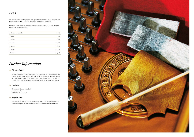## *Further Information*

### *How to find us*

 As Seifhennersdorf is a remote location, you can travel by car, however we can also provide transfer to and from railway stations in Neugersdorf and Dresden as well as to and from Dresden Airport (DRS). Other Airports nearby are Prague (PRG), Leipzig (LEJ) and Berlin (BER). Trains will take you to Dresden and Neugersdorf.

### *Address*

 C. Bechstein Pianofortefabrik AG Jentschstraße 5 D-02782 Seifhennersdorf

### *Registration*

 Please apply for training both for the Academy or the C. Bechstein Weekends at least 4 weeks prior to the requested training schedule: *service@bechstein.com*.



### *Fees*

| 2-3 days   weekends | € 390   |
|---------------------|---------|
| 1 week              | € 500   |
| 2 weeks             | € 900   |
| 3 weeks             | € 1,200 |
| 4 weeks             | € 1,400 |
| 8 weeks             | € 2,400 |
| 12 weeks            | € 3,000 |

The training is really not expensive. Fees apply for all training in the C. Bechstein Technicians Academy and C. Bechstein Weekends. The following fees apply.

Fees cover accommodation, breakfast and lunch in the factory; C. Bechstein Weekend fees include dinner and drinks.